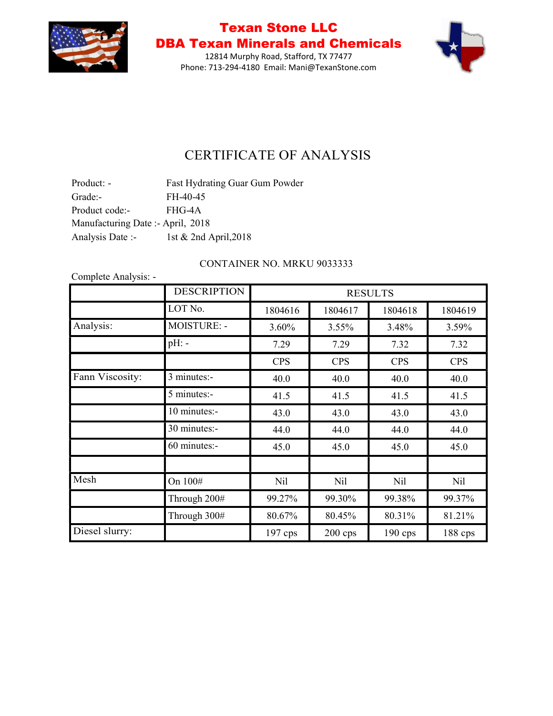

12814 Murphy Road, Stafford, TX 77477 Phone: 713-294-4180 Email: Mani@TexanStone.com



## CERTIFICATE OF ANALYSIS

| Product: -                        | Fast Hydrating Guar Gum Powder |
|-----------------------------------|--------------------------------|
| Grade:-                           | FH-40-45                       |
| Product code:-                    | FHG-4A                         |
| Manufacturing Date :- April, 2018 |                                |
| Analysis Date :-                  | 1st & 2nd April, 2018          |

### CONTAINER NO. MRKU 9033333

|                 | <b>DESCRIPTION</b> |            |            | <b>RESULTS</b> |            |
|-----------------|--------------------|------------|------------|----------------|------------|
|                 | LOT No.            | 1804616    | 1804617    | 1804618        | 1804619    |
| Analysis:       | <b>MOISTURE: -</b> | 3.60%      | $3.55\%$   | 3.48%          | 3.59%      |
|                 | $pH$ : -           | 7.29       | 7.29       | 7.32           | 7.32       |
|                 |                    | <b>CPS</b> | <b>CPS</b> | <b>CPS</b>     | <b>CPS</b> |
| Fann Viscosity: | 3 minutes:-        | 40.0       | 40.0       | 40.0           | 40.0       |
|                 | 5 minutes:-        | 41.5       | 41.5       | 41.5           | 41.5       |
|                 | 10 minutes:-       | 43.0       | 43.0       | 43.0           | 43.0       |
|                 | 30 minutes:-       | 44.0       | 44.0       | 44.0           | 44.0       |
|                 | 60 minutes:-       | 45.0       | 45.0       | 45.0           | 45.0       |
|                 |                    |            |            |                |            |
| Mesh            | On 100#            | Nil        | Nil        | <b>Nil</b>     | <b>Nil</b> |
|                 | Through 200#       | 99.27%     | 99.30%     | 99.38%         | 99.37%     |
|                 | Through 300#       | 80.67%     | 80.45%     | 80.31%         | 81.21%     |
| Diesel slurry:  |                    | $197$ cps  | $200$ cps  | $190$ cps      | 188 cps    |

Complete Analysis: -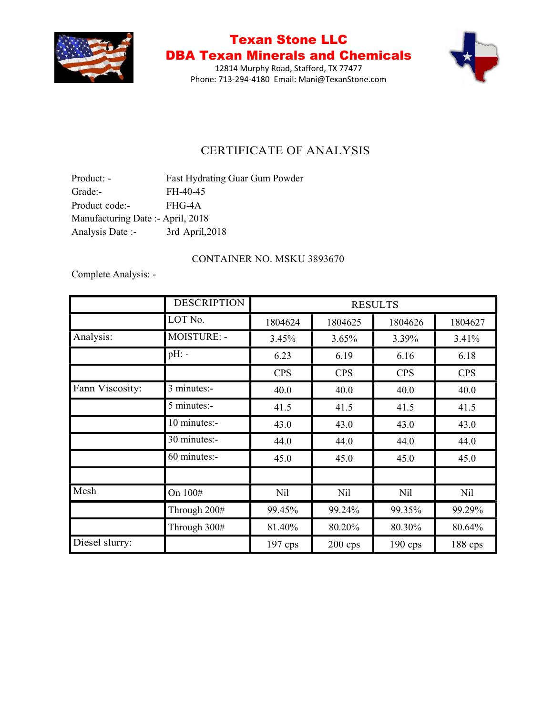

12814 Murphy Road, Stafford, TX 77477 Phone: 713-294-4180 Email: Mani@TexanStone.com



### CERTIFICATE OF ANALYSIS

Product: - Fast Hydrating Guar Gum Powder Grade:- FH-40-45 Product code:- FHG-4A Manufacturing Date :- April, 2018 Analysis Date :- 3rd April,2018

#### CONTAINER NO. MSKU 3893670

Complete Analysis: -

|                 | <b>DESCRIPTION</b> | <b>RESULTS</b> |            |            |            |
|-----------------|--------------------|----------------|------------|------------|------------|
|                 | LOT No.            | 1804624        | 1804625    | 1804626    | 1804627    |
| Analysis:       | <b>MOISTURE: -</b> | 3.45%          | 3.65%      | 3.39%      | 3.41%      |
|                 | $pH$ : -           | 6.23           | 6.19       | 6.16       | 6.18       |
|                 |                    | <b>CPS</b>     | <b>CPS</b> | <b>CPS</b> | <b>CPS</b> |
| Fann Viscosity: | 3 minutes:-        | 40.0           | 40.0       | 40.0       | 40.0       |
|                 | 5 minutes:-        | 41.5           | 41.5       | 41.5       | 41.5       |
|                 | 10 minutes:-       | 43.0           | 43.0       | 43.0       | 43.0       |
|                 | 30 minutes:-       | 44.0           | 44.0       | 44.0       | 44.0       |
|                 | 60 minutes:-       | 45.0           | 45.0       | 45.0       | 45.0       |
| Mesh            | On 100#            | Nil            | <b>Nil</b> | Nil        | Nil        |
|                 | Through 200#       | 99.45%         | 99.24%     | 99.35%     | 99.29%     |
|                 | Through 300#       | 81.40%         | 80.20%     | 80.30%     | 80.64%     |
| Diesel slurry:  |                    | $197$ cps      | $200$ cps  | $190$ cps  | 188 cps    |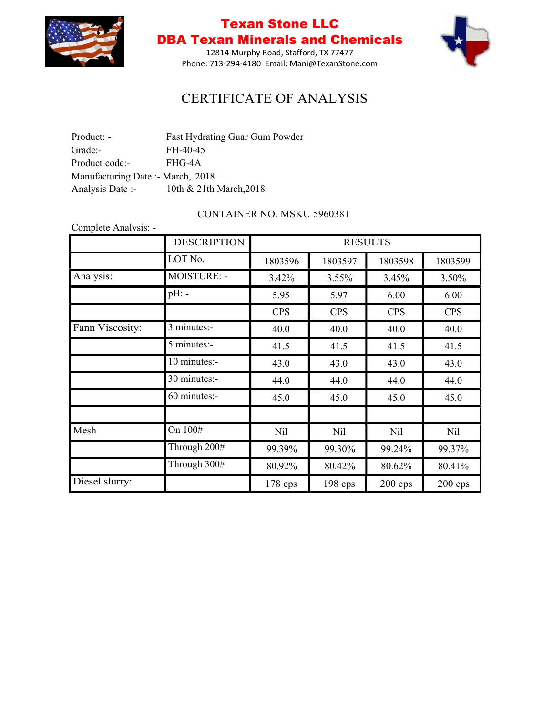

12814 Murphy Road, Stafford, TX 77477 Phone: 713-294-4180 Email: Mani@TexanStone.com



## CERTIFICATE OF ANALYSIS

| Product: -                        | Fast Hydrating Guar Gum Powder |
|-----------------------------------|--------------------------------|
| Grade:-                           | FH-40-45                       |
| Product code:-                    | FHG-4A                         |
| Manufacturing Date :- March, 2018 |                                |
| Analysis Date :-                  | 10th & 21th March, 2018        |

#### CONTAINER NO. MSKU 5960381

|                 | <b>DESCRIPTION</b> |            |            | <b>RESULTS</b>  |            |
|-----------------|--------------------|------------|------------|-----------------|------------|
|                 | LOT No.            | 1803596    | 1803597    | 1803598         | 1803599    |
| Analysis:       | <b>MOISTURE: -</b> | 3.42%      | 3.55%      | 3.45%           | 3.50%      |
|                 | $pH$ : -           | 5.95       | 5.97       | 6.00            | 6.00       |
|                 |                    | <b>CPS</b> | <b>CPS</b> | <b>CPS</b>      | <b>CPS</b> |
| Fann Viscosity: | 3 minutes:-        | 40.0       | 40.0       | 40.0            | 40.0       |
|                 | 5 minutes:-        | 41.5       | 41.5       | 41.5            | 41.5       |
|                 | 10 minutes:-       | 43.0       | 43.0       | 43.0            | 43.0       |
|                 | 30 minutes:-       | 44.0       | 44.0       | 44.0            | 44.0       |
|                 | 60 minutes:-       | 45.0       | 45.0       | 45.0            | 45.0       |
| Mesh            | On 100#            | Nil        | <b>Nil</b> | N <sub>il</sub> | Nil        |
|                 | Through 200#       | 99.39%     | 99.30%     | 99.24%          | 99.37%     |
|                 | Through 300#       | 80.92%     | 80.42%     | 80.62%          | 80.41%     |
| Diesel slurry:  |                    | $178$ cps  | $198$ cps  | $200$ cps       | $200$ cps  |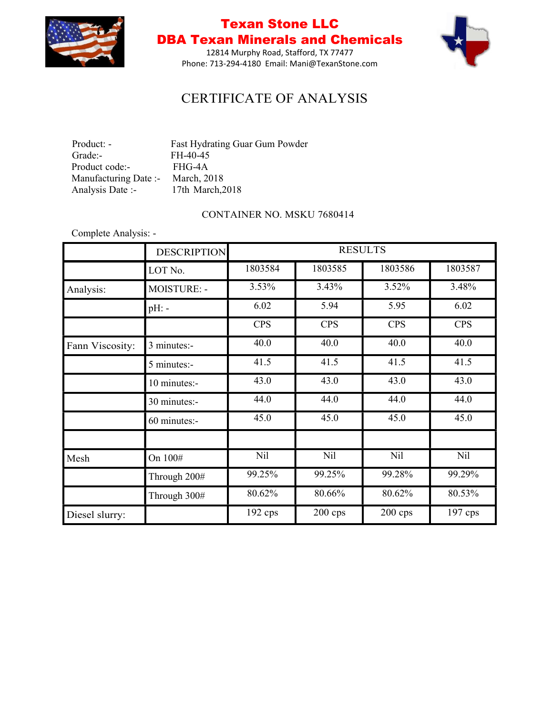

12814 Murphy Road, Stafford, TX 77477 Phone: 713-294-4180 Email: Mani@TexanStone.com



## CERTIFICATE OF ANALYSIS

| Product: -            | Fast Hydrating Guar Gum Powder |
|-----------------------|--------------------------------|
| Grade:-               | FH-40-45                       |
| Product code:-        | FHG-4A                         |
| Manufacturing Date :- | March, 2018                    |
| Analysis Date :-      | 17th March, 2018               |

#### CONTAINER NO. MSKU 7680414

Complete Analysis: -

|                 | <b>DESCRIPTION</b> |            | <b>RESULTS</b> |            |                 |
|-----------------|--------------------|------------|----------------|------------|-----------------|
|                 | LOT No.            | 1803584    | 1803585        | 1803586    | 1803587         |
| Analysis:       | MOISTURE: -        | 3.53%      | 3.43%          | 3.52%      | 3.48%           |
|                 | $pH$ : -           | 6.02       | 5.94           | 5.95       | 6.02            |
|                 |                    | <b>CPS</b> | <b>CPS</b>     | <b>CPS</b> | <b>CPS</b>      |
| Fann Viscosity: | 3 minutes:-        | 40.0       | 40.0           | 40.0       | 40.0            |
|                 | 5 minutes:-        | 41.5       | 41.5           | 41.5       | 41.5            |
|                 | 10 minutes:-       | 43.0       | 43.0           | 43.0       | 43.0            |
|                 | 30 minutes:-       | 44.0       | 44.0           | 44.0       | 44.0            |
|                 | 60 minutes:-       | 45.0       | 45.0           | 45.0       | 45.0            |
| Mesh            | On 100#            | Nil        | Nil            | <b>Nil</b> | N <sub>il</sub> |
|                 | Through 200#       | 99.25%     | 99.25%         | 99.28%     | 99.29%          |
|                 | Through 300#       | 80.62%     | 80.66%         | 80.62%     | 80.53%          |
| Diesel slurry:  |                    | $192$ cps  | $200$ cps      | $200$ cps  | $197$ cps       |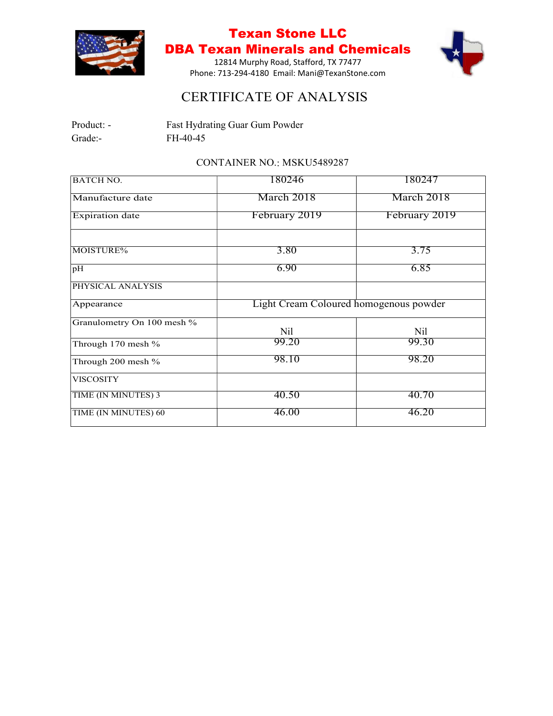

12814 Murphy Road, Stafford, TX 77477 Phone: 713-294-4180 Email: Mani@TexanStone.com



## CERTIFICATE OF ANALYSIS

| Product: - | Fast Hydrating Guar Gum Powder |
|------------|--------------------------------|
| Grade:-    | FH-40-45                       |

#### CONTAINER NO.: MSKU5489287

| <b>BATCH NO.</b>           | 180246                                 | 180247          |
|----------------------------|----------------------------------------|-----------------|
| Manufacture date           | March 2018                             | March 2018      |
| <b>Expiration</b> date     | February 2019                          | February 2019   |
| MOISTURE%                  | 3.80                                   | 3.75            |
| pH                         | 6.90                                   | 6.85            |
| PHYSICAL ANALYSIS          |                                        |                 |
| Appearance                 | Light Cream Coloured homogenous powder |                 |
| Granulometry On 100 mesh % | <b>Nil</b>                             | N <sub>il</sub> |
| Through 170 mesh %         | 99.20                                  | 99.30           |
| Through 200 mesh %         | 98.10                                  | 98.20           |
| <b>VISCOSITY</b>           |                                        |                 |
| TIME (IN MINUTES) 3        | 40.50                                  | 40.70           |
| TIME (IN MINUTES) 60       | 46.00                                  | 46.20           |
|                            |                                        |                 |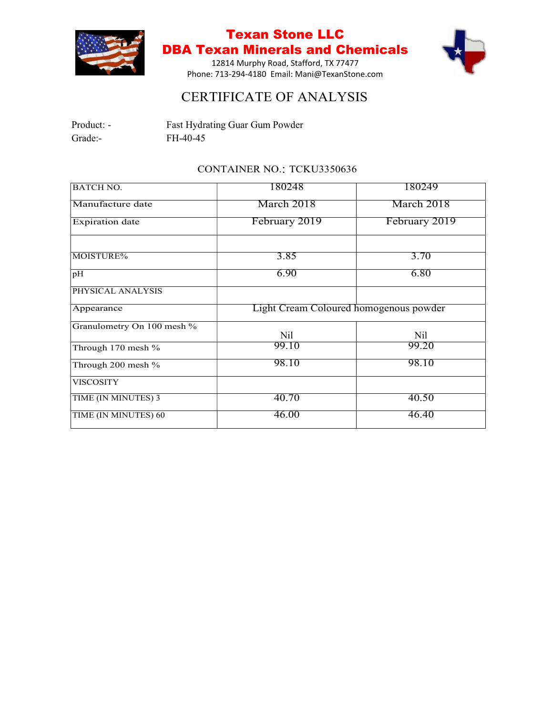

12814 Murphy Road, Stafford, TX 77477 Phone: 713-294-4180 Email: Mani@TexanStone.com



## CERTIFICATE OF ANALYSIS

| Product: - | Fast Hydrating Guar Gum Powder |
|------------|--------------------------------|
| Grade:-    | FH-40-45                       |

### CONTAINER NO.: TCKU3350636

| 180248<br><b>BATCH NO.</b>                           | 180249        |
|------------------------------------------------------|---------------|
| March 2018<br>Manufacture date                       | March 2018    |
| February 2019<br><b>Expiration</b> date              | February 2019 |
| 3.85<br>MOISTURE%                                    | 3.70          |
| 6.90<br>pH                                           | 6.80          |
| PHYSICAL ANALYSIS                                    |               |
| Light Cream Coloured homogenous powder<br>Appearance |               |
| Granulometry On 100 mesh %<br><b>Nil</b>             | Nil           |
| 99.10<br>Through 170 mesh %                          | 99.20         |
| 98.10<br>Through 200 mesh %                          | 98.10         |
| <b>VISCOSITY</b>                                     |               |
| 40.70<br>TIME (IN MINUTES) 3                         | 40.50         |
| 46.00<br>TIME (IN MINUTES) 60                        | 46.40         |